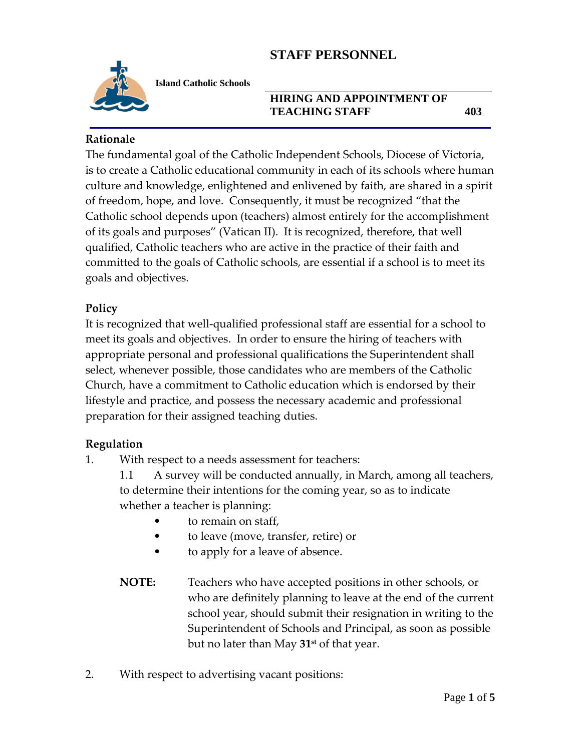

**Island Catholic Schools** 

#### **HIRING AND APPOINTMENT OF TEACHING STAFF 403**

**Rationale**

The fundamental goal of the Catholic Independent Schools, Diocese of Victoria, is to create a Catholic educational community in each of its schools where human culture and knowledge, enlightened and enlivened by faith, are shared in a spirit of freedom, hope, and love. Consequently, it must be recognized "that the Catholic school depends upon (teachers) almost entirely for the accomplishment of its goals and purposes" (Vatican II). It is recognized, therefore, that well qualified, Catholic teachers who are active in the practice of their faith and committed to the goals of Catholic schools, are essential if a school is to meet its goals and objectives.

### **Policy**

It is recognized that well-qualified professional staff are essential for a school to meet its goals and objectives. In order to ensure the hiring of teachers with appropriate personal and professional qualifications the Superintendent shall select, whenever possible, those candidates who are members of the Catholic Church, have a commitment to Catholic education which is endorsed by their lifestyle and practice, and possess the necessary academic and professional preparation for their assigned teaching duties.

### **Regulation**

1. With respect to a needs assessment for teachers:

1.1 A survey will be conducted annually, in March, among all teachers, to determine their intentions for the coming year, so as to indicate whether a teacher is planning:

- to remain on staff,
- to leave (move, transfer, retire) or
- to apply for a leave of absence.
- **NOTE:** Teachers who have accepted positions in other schools, or who are definitely planning to leave at the end of the current school year, should submit their resignation in writing to the Superintendent of Schools and Principal, as soon as possible but no later than May **31st** of that year.
- 2. With respect to advertising vacant positions: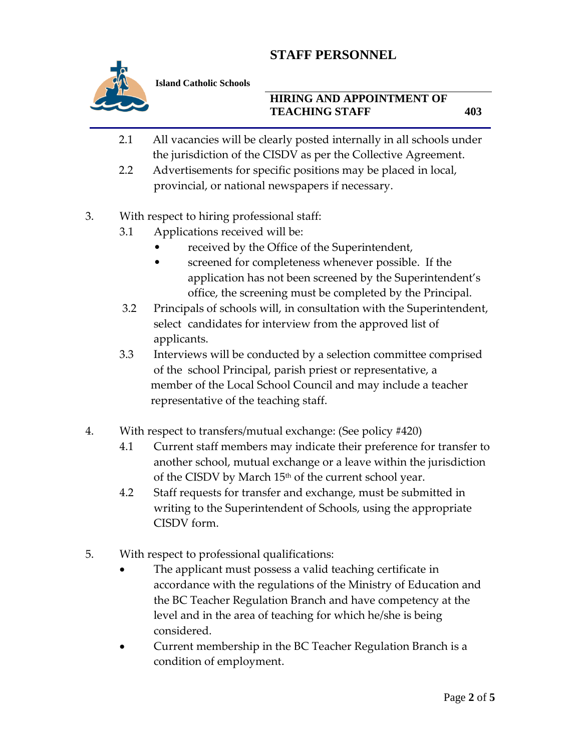

**Island Catholic Schools** 

#### **HIRING AND APPOINTMENT OF TEACHING STAFF 403**

- 2.1 All vacancies will be clearly posted internally in all schools under the jurisdiction of the CISDV as per the Collective Agreement.
- 2.2 Advertisements for specific positions may be placed in local, provincial, or national newspapers if necessary.
- 3. With respect to hiring professional staff:
	- 3.1 Applications received will be:
		- received by the Office of the Superintendent,
		- screened for completeness whenever possible. If the application has not been screened by the Superintendent's office, the screening must be completed by the Principal.
	- 3.2 Principals of schools will, in consultation with the Superintendent, select candidates for interview from the approved list of applicants.
	- 3.3 Interviews will be conducted by a selection committee comprised of the school Principal, parish priest or representative, a member of the Local School Council and may include a teacher representative of the teaching staff.
- 4. With respect to transfers/mutual exchange: (See policy #420)
	- 4.1 Current staff members may indicate their preference for transfer to another school, mutual exchange or a leave within the jurisdiction of the CISDV by March  $15<sup>th</sup>$  of the current school year.
	- 4.2 Staff requests for transfer and exchange, must be submitted in writing to the Superintendent of Schools, using the appropriate CISDV form.
- 5. With respect to professional qualifications:
	- The applicant must possess a valid teaching certificate in accordance with the regulations of the Ministry of Education and the BC Teacher Regulation Branch and have competency at the level and in the area of teaching for which he/she is being considered.
	- Current membership in the BC Teacher Regulation Branch is a condition of employment.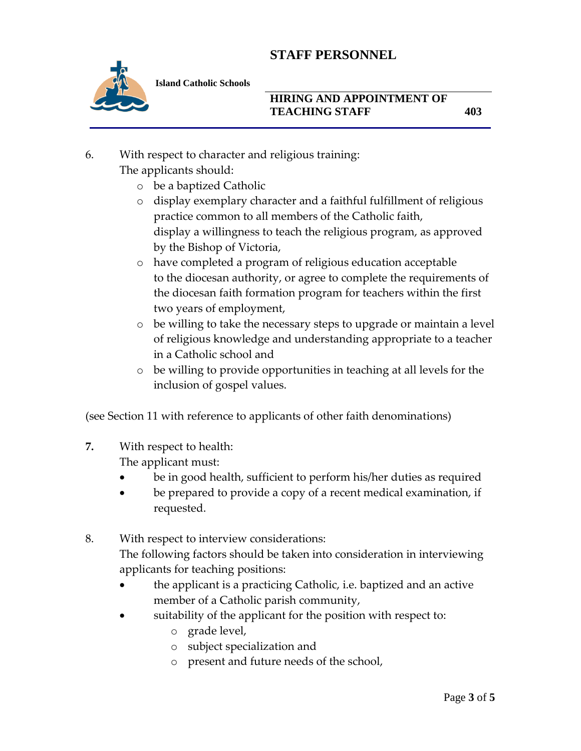

**Island Catholic Schools** 

#### **HIRING AND APPOINTMENT OF TEACHING STAFF 403**

- 6. With respect to character and religious training: The applicants should:
	- o be a baptized Catholic
	- o display exemplary character and a faithful fulfillment of religious practice common to all members of the Catholic faith, display a willingness to teach the religious program, as approved by the Bishop of Victoria,
	- o have completed a program of religious education acceptable to the diocesan authority, or agree to complete the requirements of the diocesan faith formation program for teachers within the first two years of employment,
	- o be willing to take the necessary steps to upgrade or maintain a level of religious knowledge and understanding appropriate to a teacher in a Catholic school and
	- o be willing to provide opportunities in teaching at all levels for the inclusion of gospel values.

(see Section 11 with reference to applicants of other faith denominations)

**7.** With respect to health:

The applicant must:

- be in good health, sufficient to perform his/her duties as required
- be prepared to provide a copy of a recent medical examination, if requested.
- 8. With respect to interview considerations: The following factors should be taken into consideration in interviewing applicants for teaching positions:
	- the applicant is a practicing Catholic, i.e. baptized and an active member of a Catholic parish community,
	- suitability of the applicant for the position with respect to:
		- o grade level,
		- o subject specialization and
		- o present and future needs of the school,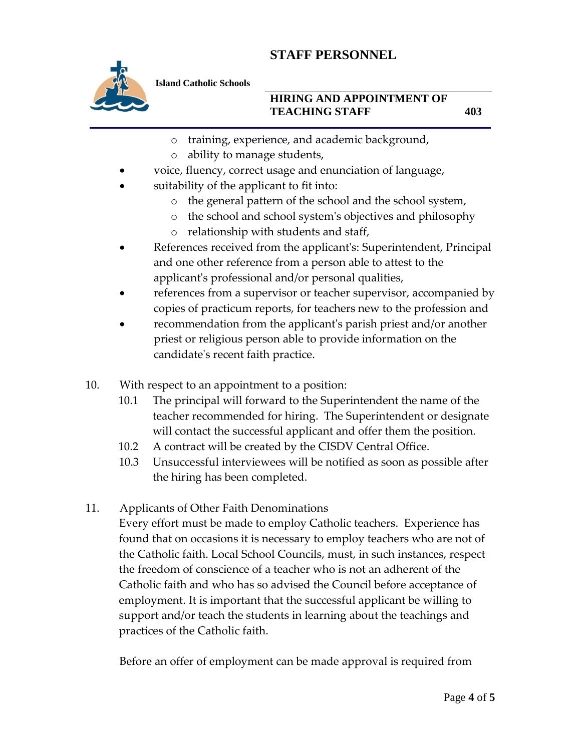

**Island Catholic Schools** 

### **HIRING AND APPOINTMENT OF TEACHING STAFF 403**

- o training, experience, and academic background,
- o ability to manage students,
- voice, fluency, correct usage and enunciation of language,
- suitability of the applicant to fit into:
	- o the general pattern of the school and the school system,
	- o the school and school system's objectives and philosophy
	- o relationship with students and staff,
- References received from the applicant's: Superintendent, Principal and one other reference from a person able to attest to the applicant's professional and/or personal qualities,
- references from a supervisor or teacher supervisor, accompanied by copies of practicum reports, for teachers new to the profession and
- recommendation from the applicant's parish priest and/or another priest or religious person able to provide information on the candidate's recent faith practice.
- 10. With respect to an appointment to a position:
	- 10.1 The principal will forward to the Superintendent the name of the teacher recommended for hiring. The Superintendent or designate will contact the successful applicant and offer them the position.
	- 10.2 A contract will be created by the CISDV Central Office.
	- 10.3 Unsuccessful interviewees will be notified as soon as possible after the hiring has been completed.
- 11. Applicants of Other Faith Denominations

Every effort must be made to employ Catholic teachers. Experience has found that on occasions it is necessary to employ teachers who are not of the Catholic faith. Local School Councils, must, in such instances, respect the freedom of conscience of a teacher who is not an adherent of the Catholic faith and who has so advised the Council before acceptance of employment. It is important that the successful applicant be willing to support and/or teach the students in learning about the teachings and practices of the Catholic faith.

Before an offer of employment can be made approval is required from